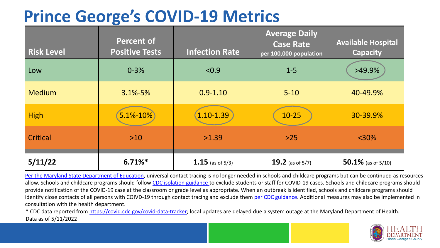### **Prince George's COVID-19 Metrics**

| <b>Risk Level</b> | <b>Percent of</b><br><b>Positive Tests</b> | <b>Infection Rate</b> | <b>Average Daily</b><br><b>Case Rate</b><br>per 100,000 population | <b>Available Hospital</b><br><b>Capacity</b> |
|-------------------|--------------------------------------------|-----------------------|--------------------------------------------------------------------|----------------------------------------------|
| Low               | $0 - 3%$                                   | < 0.9                 | $1 - 5$                                                            | >49.9%                                       |
| <b>Medium</b>     | $3.1\% - 5\%$                              | $0.9 - 1.10$          | $5 - 10$                                                           | 40-49.9%                                     |
| <b>High</b>       | $5.1% - 10%$                               | $1.10 - 1.39$         | $10 - 25$                                                          | 30-39.9%                                     |
| Critical          | $>10$                                      | >1.39                 | $>25$                                                              | $<$ 30%                                      |
| 5/11/22           | $6.71\%$ *                                 | 1.15 (as of $5/3$ )   | 19.2 (as of $5/7$ )                                                | $50.1\%$ (as of 5/10)                        |

[Per the Maryland State Department of Education,](https://earlychildhood.marylandpublicschools.org/system/files/filedepot/3/covid_guidance_full_080420.pdf) universal contact tracing is no longer needed in schools and childcare programs but can be continued as resources allow. Schools and childcare programs should follow [CDC isolation guidance t](https://www.cdc.gov/coronavirus/2019-ncov/community/schools-childcare/k-12-contact-tracing/about-isolation.html)o exclude students or staff for COVID-19 cases. Schools and childcare programs should provide notification of the COVID-19 case at the classroom or grade level as appropriate. When an outbreak is identified, schools and childcare programs should identify close contacts of all persons with COIVD-19 through contact tracing and exclude them [per CDC guidance](https://www.cdc.gov/coronavirus/2019-ncov/your-health/quarantine-isolation.html). Additional measures may also be implemented in consultation with the health department.

\* CDC data reported from [https://covid.cdc.gov/covid-data-tracker;](https://covid.cdc.gov/covid-data-tracker) local updates are delayed due a system outage at the Maryland Department of Health. Data as of 5/11/2022

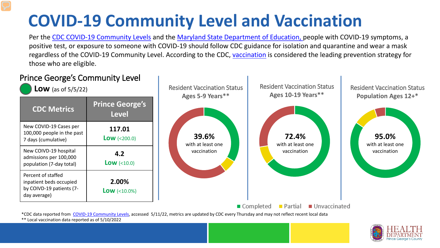# **COVID-19 Community Level and Vaccination**

Per the [CDC COVID-19 Community Levels](https://www.cdc.gov/coronavirus/2019-ncov/science/community-levels.html#anchor_82254) and the [Maryland State Department of Education,](https://earlychildhood.marylandpublicschools.org/system/files/filedepot/3/covid_guidance_full_080420.pdf) people with COVID-19 symptoms, a positive test, or exposure to someone with COVID-19 should follow CDC guidance for isolation and quarantine and wear a mask regardless of the COVID-19 Community Level. According to the CDC, [vaccination](https://www.cdc.gov/coronavirus/2019-ncov/prevent-getting-sick/prevention.html) is considered the leading prevention strategy for those who are eligible.



\*\* Local vaccination data reported as of 5/10/2022

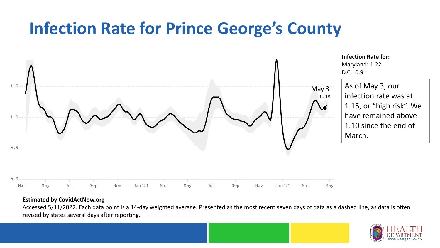### **Infection Rate for Prince George's County**



#### **Estimated by CovidActNow.org**

Accessed 5/11/2022. Each data point is a 14-day weighted average. Presented as the most recent seven days of data as a dashed line, as data is often revised by states several days after reporting.

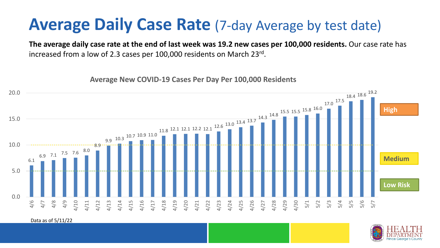### **Average Daily Case Rate** (7-day Average by test date)

**The average daily case rate at the end of last week was 19.2 new cases per 100,000 residents.** Our case rate has increased from a low of 2.3 cases per 100,000 residents on March 23rd.

6.1 6.9 7.1 7.5 7.6 8.0 ------8.9 9.9 10.3 10.7 10.9 11.0  $11.8$  12.1 12.1 12.2 12.1  $12.6$   $13.0$   $13.4$   $13.7$   $14.3$   $14.8$ 15.5 15.8 <sup>16.0</sup> 17.0 17.5 18.4 18.6 19.2 0.0 5.0 10.0 15.0 20.0 4/6 4/7 4/8 4/9 4/10 4/11 4/12 4/13 4/14 4/15 4/16 4/17 4/18 4/19 4/20 4/21 4/22 4/23 4/24 4/25 4/26 4/27 4/28 4/29 4/30 5/1 5/2 5/3 5/4 5/5 5/6 5/7 **Low Risk Medium High**

**Average New COVID-19 Cases Per Day Per 100,000 Residents**